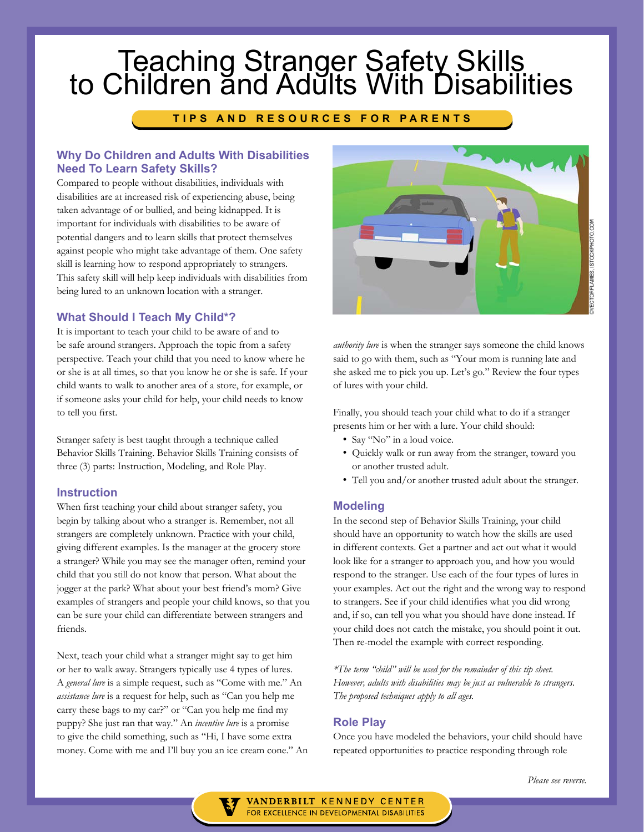# Teaching Stranger Safety Skills<br>to Children and Adults With Disabilities

## **TIPS AND RESOURCES FOR PARENTS**

## **Why Do Children and Adults With Disabilities Need To Learn Safety Skills?**

Compared to people without disabilities, individuals with disabilities are at increased risk of experiencing abuse, being taken advantage of or bullied, and being kidnapped. It is important for individuals with disabilities to be aware of potential dangers and to learn skills that protect themselves against people who might take advantage of them. One safety skill is learning how to respond appropriately to strangers. This safety skill will help keep individuals with disabilities from being lured to an unknown location with a stranger.

## **What Should I Teach My Child\*?**

It is important to teach your child to be aware of and to be safe around strangers. Approach the topic from a safety perspective. Teach your child that you need to know where he or she is at all times, so that you know he or she is safe. If your child wants to walk to another area of a store, for example, or if someone asks your child for help, your child needs to know to tell you first.

Stranger safety is best taught through a technique called Behavior Skills Training. Behavior Skills Training consists of three (3) parts: Instruction, Modeling, and Role Play.

#### **Instruction**

When first teaching your child about stranger safety, you begin by talking about who a stranger is. Remember, not all strangers are completely unknown. Practice with your child, giving different examples. Is the manager at the grocery store a stranger? While you may see the manager often, remind your child that you still do not know that person. What about the jogger at the park? What about your best friend's mom? Give examples of strangers and people your child knows, so that you can be sure your child can differentiate between strangers and friends.

Next, teach your child what a stranger might say to get him or her to walk away. Strangers typically use 4 types of lures. A *general lure* is a simple request, such as "Come with me." An *assistance lure* is a request for help, such as "Can you help me carry these bags to my car?" or "Can you help me find my puppy? She just ran that way." An *incentive lure* is a promise to give the child something, such as "Hi, I have some extra money. Come with me and I'll buy you an ice cream cone." An



*authority lure* is when the stranger says someone the child knows said to go with them, such as "Your mom is running late and she asked me to pick you up. Let's go." Review the four types of lures with your child.

Finally, you should teach your child what to do if a stranger presents him or her with a lure. Your child should:

- Say "No" in a loud voice.
- Quickly walk or run away from the stranger, toward you or another trusted adult.
- Tell you and/or another trusted adult about the stranger.

#### **Modeling**

In the second step of Behavior Skills Training, your child should have an opportunity to watch how the skills are used in different contexts. Get a partner and act out what it would look like for a stranger to approach you, and how you would respond to the stranger. Use each of the four types of lures in your examples. Act out the right and the wrong way to respond to strangers. See if your child identifies what you did wrong and, if so, can tell you what you should have done instead. If your child does not catch the mistake, you should point it out. Then re-model the example with correct responding.

*\*The term "child" will be used for the remainder of this tip sheet. However, adults with disabilities may be just as vulnerable to strangers. The proposed techniques apply to all ages.*

#### **Role Play**

Once you have modeled the behaviors, your child should have repeated opportunities to practice responding through role